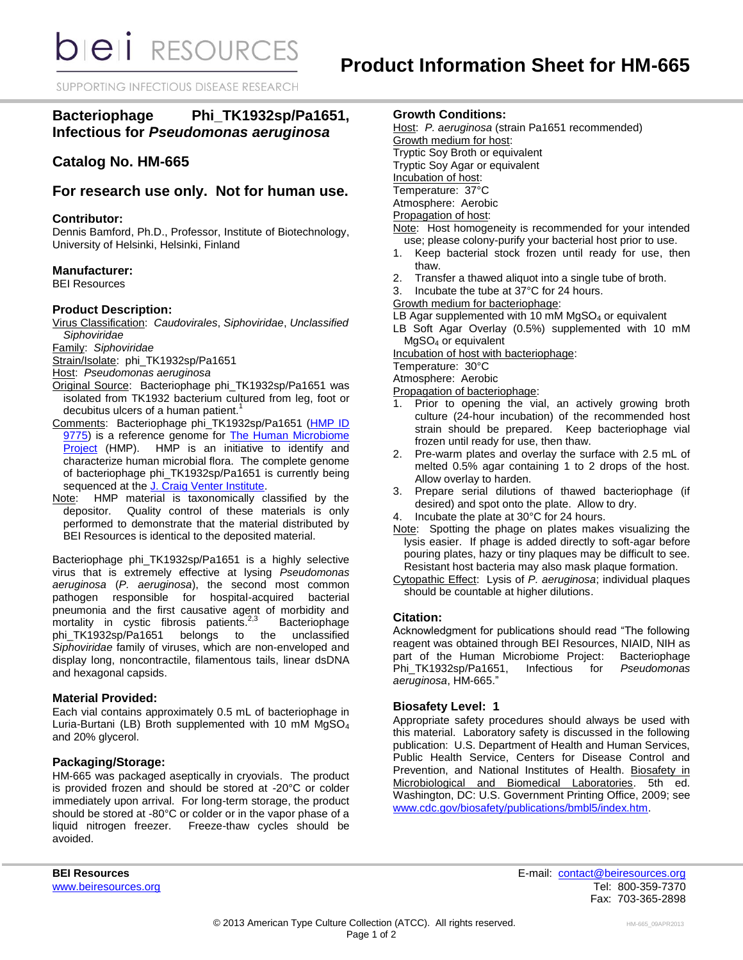SUPPORTING INFECTIOUS DISEASE RESEARCH

# **Bacteriophage Phi\_TK1932sp/Pa1651, Infectious for** *Pseudomonas aeruginosa*

## **Catalog No. HM-665**

## **For research use only. Not for human use.**

### **Contributor:**

Dennis Bamford, Ph.D., Professor, Institute of Biotechnology, University of Helsinki, Helsinki, Finland

## **Manufacturer:**

BEI Resources

## **Product Description:**

Virus Classification: *Caudovirales*, *Siphoviridae*, *Unclassified Siphoviridae*

Family: *Siphoviridae*

Strain/Isolate: phi\_TK1932sp/Pa1651

Host: *Pseudomonas aeruginosa*

- Original Source: Bacteriophage phi\_TK1932sp/Pa1651 was isolated from TK1932 bacterium cultured from leg, foot or decubitus ulcers of a human patient.<sup>1</sup>
- Comments: Bacteriophage phi\_TK1932sp/Pa1651 (HMP ID [9775\)](http://www.hmpdacc-resources.org/cgi-bin/hmp_catalog/main.cgi?section=HmpSummary&page=displayHmpProject&hmp_id=9775) is a reference genome for [The Human Microbiome](http://nihroadmap.nih.gov/hmp/)  [Project](http://nihroadmap.nih.gov/hmp/) (HMP). HMP is an initiative to identify and characterize human microbial flora. The complete genome of bacteriophage phi\_TK1932sp/Pa1651 is currently being sequenced at the [J. Craig Venter Institute.](http://hmp.jcvi.org/)
- Note: HMP material is taxonomically classified by the depositor. Quality control of these materials is only performed to demonstrate that the material distributed by BEI Resources is identical to the deposited material.

Bacteriophage phi\_TK1932sp/Pa1651 is a highly selective virus that is extremely effective at lysing *Pseudomonas aeruginosa* (*P. aeruginosa*), the second most common pathogen responsible for hospital-acquired bacterial pneumonia and the first causative agent of morbidity and mortality in cystic fibrosis patients.<sup>2,3</sup> Bacteriophage<br>unclassified phi\_TK1932sp/Pa1651 belongs to the *Siphoviridae* family of viruses, which are non-enveloped and display long, noncontractile, filamentous tails, linear dsDNA and hexagonal capsids.

#### **Material Provided:**

Each vial contains approximately 0.5 mL of bacteriophage in Luria-Burtani (LB) Broth supplemented with 10 mM MgSO<sup>4</sup> and 20% glycerol.

## **Packaging/Storage:**

HM-665 was packaged aseptically in cryovials. The product is provided frozen and should be stored at -20°C or colder immediately upon arrival. For long-term storage, the product should be stored at -80°C or colder or in the vapor phase of a liquid nitrogen freezer. Freeze-thaw cycles should be avoided.

## **Growth Conditions:**

- Host: *P. aeruginosa* (strain Pa1651 recommended) Growth medium for host: Tryptic Soy Broth or equivalent Tryptic Soy Agar or equivalent Incubation of host: Temperature: 37°C Atmosphere: Aerobic Propagation of host: Note: Host homogeneity is recommended for your intended use; please colony-purify your bacterial host prior to use.
- 1. Keep bacterial stock frozen until ready for use, then thaw.
- 2. Transfer a thawed aliquot into a single tube of broth.
- 3. Incubate the tube at 37°C for 24 hours.
- Growth medium for bacteriophage:

LB Agar supplemented with 10 mM  $MgSO<sub>4</sub>$  or equivalent

LB Soft Agar Overlay (0.5%) supplemented with 10 mM MgSO<sup>4</sup> or equivalent

Incubation of host with bacteriophage:

Temperature: 30°C

Atmosphere: Aerobic

Propagation of bacteriophage:

- 1. Prior to opening the vial, an actively growing broth culture (24-hour incubation) of the recommended host strain should be prepared. Keep bacteriophage vial frozen until ready for use, then thaw.
- 2. Pre-warm plates and overlay the surface with 2.5 mL of melted 0.5% agar containing 1 to 2 drops of the host. Allow overlay to harden.
- 3. Prepare serial dilutions of thawed bacteriophage (if desired) and spot onto the plate. Allow to dry.
- 4. Incubate the plate at 30°C for 24 hours.
- Note: Spotting the phage on plates makes visualizing the lysis easier. If phage is added directly to soft-agar before pouring plates, hazy or tiny plaques may be difficult to see. Resistant host bacteria may also mask plaque formation.
- Cytopathic Effect: Lysis of *P. aeruginosa*; individual plaques should be countable at higher dilutions.

## **Citation:**

Acknowledgment for publications should read "The following reagent was obtained through BEI Resources, NIAID, NIH as part of the Human Microbiome Project: Bacteriophage<br>Phi TK1932sp/Pa1651, Infectious for Pseudomonas Phi TK1932sp/Pa1651, *aeruginosa*, HM-665."

## **Biosafety Level: 1**

Appropriate safety procedures should always be used with this material. Laboratory safety is discussed in the following publication: U.S. Department of Health and Human Services, Public Health Service, Centers for Disease Control and Prevention, and National Institutes of Health. Biosafety in Microbiological and Biomedical Laboratories. 5th ed. Washington, DC: U.S. Government Printing Office, 2009; see [www.cdc.gov/biosafety/publications/bmbl5/index.htm.](http://www.cdc.gov/biosafety/publications/bmbl5/index.htm)